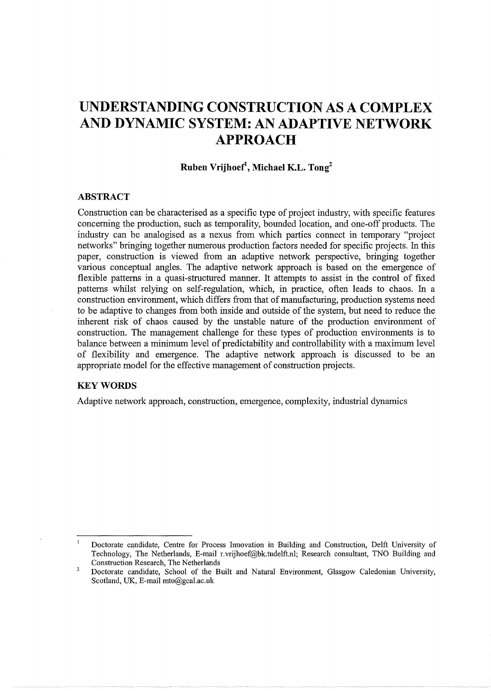# **UNDERSTANDING CONSTRUCTION AS A COMPLEX AND DYNAMIC SYSTEM: AN ADAPTIVE NETWORK APPROACH**

# **Ruben Vrijhoef1 , Michael KL. Tong2**

#### **ABSTRACT**

Construction can be characterised as a specific type of project industry, with specific features concerning the production, such as temporality, bounded location, and one-off products. The industry can be analogised as a nexus from which parties connect in temporary "project networks" bringing together numerous production factors needed for specific projects. In this paper, construction is viewed from an adaptive network perspective, bringing together various conceptual angles. The adaptive network approach is based on the emergence of flexible patterns in a quasi-structured manner. It attempts to assist in the control of fixed patterns whilst relying on self-regulation, which, in practice, often leads to chaos. In a construction environment, which differs from that of manufacturing, production systems need to be adaptive to changes from both inside and outside of the system, but need to reduce the inherent risk of chaos caused by the unstable nature of the production environment of construction. The management challenge for these types of production environments is to balance between a minimum level of predictability and controllability with a maximum level of flexibility and emergence. The adaptive network approach is discussed to be an appropriate model for the effective management of construction projects.

# **KEYWORDS**

Adaptive network approach, construction, emergence, complexity, industrial dynamics

 $\overline{1}$ Doctorate candidate, Centre for Process Innovation in Building and Construction, Delft University of Technology, The Netherlands, E-mail r.vrijhoef@bk.tudelft.nl; Research consultant, TNO Building and Construction Research, The Netherlands

 $\overline{2}$ Doctorate candidate, School of the Built and Natural Environment, Glasgow Caledonian University, Scotland, UK, E-mail mto@gcal.ac.uk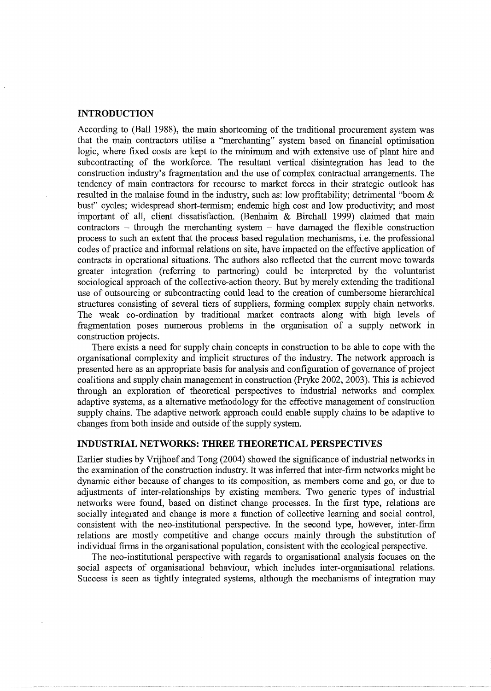## **INTRODUCTION**

According to (Ball 1988), the main shortcoming of the traditional procurement system was that the main contractors utilise a "merchanting" system based on financial optimisation logic, where fixed costs are kept to the minimum and with extensive use of plant hire and subcontracting of the workforce. The resultant vertical disintegration has lead to the construction industry's fragmentation and the use of complex contractual arrangements. The tendency of main contractors for recourse to market forces in their strategic outlook has resulted in the malaise found in the industry, such as: low profitability; detrimental "boom & bust" cycles; widespread short-termism; endemic high cost and low productivity; and most important of all, client dissatisfaction. (Benhaim & Birchall 1999) claimed that main  $contractors - through the merchanting system - have damaged the flexible construction$ process to such an extent that the process based regulation mechanisms, i.e. the professional codes of practice and informal relations on site, have impacted on the effective application of contracts in operational situations. The authors also reflected that the current move towards greater integration (referring to partnering) could be interpreted by the voluntarist sociological approach of the collective-action theory. But by merely extending the traditional use of outsourcing or subcontracting could lead to the creation of cumbersome hierarchical structures consisting of several tiers of suppliers, forming complex supply chain networks. The weak co-ordination by traditional market contracts along with high levels of fragmentation poses numerous problems in the organisation of a supply network in construction projects.

There exists a need for supply chain concepts in construction to be able to cope with the organisational complexity and implicit structures of the industry. The network approach is presented here as an appropriate basis for analysis and configuration of governance of project coalitions and supply chain management in construction (Pryke 2002, 2003). This is achieved through an exploration of theoretical perspectives to industrial networks and complex adaptive systems, as a alternative methodology for the effective management of construction supply chains. The adaptive network approach could enable supply chains to be adaptive to changes from both inside and outside of the supply system.

## **INDUSTRIAL NETWORKS: THREE THEORETICAL PERSPECTIVES**

Earlier studies by Vrijhoef and Tong (2004) showed the significance of industrial networks in the examination of the construction industry. It was inferred that inter-firm networks might be dynamic either because of changes to its composition, as members come and go, or due to adjustments of inter-relationships by existing members. Two generic types of industrial networks were found, based on distinct change processes. In the first type, relations are socially integrated and change is more a function of collective learning and social control, consistent with the neo-institutional perspective. In the second type, however, inter-firm relations are mostly competitive and change occurs mainly through the substitution of individual firms in the organisational population, consistent with the ecological perspective.

The neo-institutional perspective with regards to organisational analysis focuses on the social aspects of organisational behaviour, which includes inter-organisational relations. Success is seen as tightly integrated systems, although the mechanisms of integration may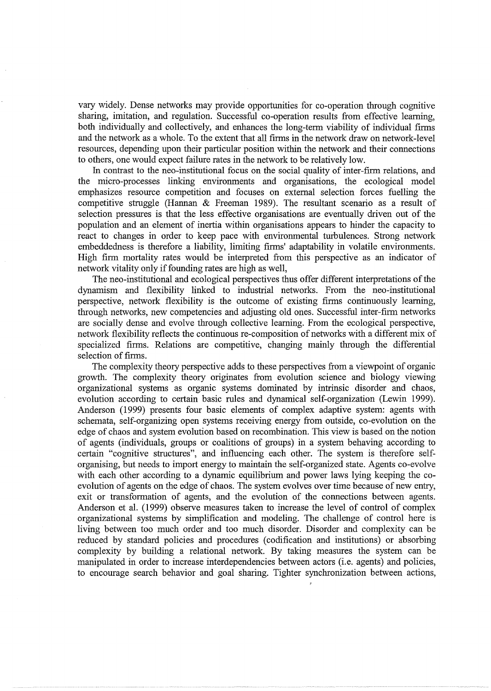vary widely. Dense networks may provide opportunities for co-operation through cognitive sharing, imitation, and regulation. Successful co-operation results from effective learning, both individually and collectively, and enhances the long-term viability of individual firms and the network as a whole. To the extent that all firms in the network draw on network-level resources, depending upon their particular position within the network and their connections to others, one would expect failure rates in the network to be relatively low.

In contrast to the neo-institutional focus on the social quality of inter-firm relations, and the micro-processes linking environments and organisations, the ecological model emphasizes resource competition and focuses on external selection forces fuelling the competitive struggle (Hannan & Freeman 1989). The resultant scenario as a result of selection pressures is that the less effective organisations are eventually driven out of the population and an element of inertia within organisations appears to hinder the capacity to react to changes in order to keep pace with environmental turbulences. Strong network embeddedness is therefore a liability, limiting firms' adaptability in volatile environments. High firm mortality rates would be interpreted from this perspective as an indicator of network vitality only if founding rates are high as well,

The neo-institutional and ecological perspectives thus offer different interpretations of the dynamism and flexibility linked to industrial networks. From the neo-institutional perspective, network flexibility is the outcome of existing firms continuously learning, through networks, new competencies and adjusting old ones. Successful inter-firm networks are socially dense and evolve through collective learning. From the ecological perspective, network flexibility reflects the continuous re-composition of networks with a different mix of specialized firms. Relations are competitive, changing mainly through the differential selection of firms.

The complexity theory perspective adds to these perspectives from a viewpoint of organic growth. The complexity theory originates from evolution science and biology viewing organizational systems as organic systems dominated by intrinsic disorder and chaos, evolution according to certain basic rules and dynamical self-organization (Lewin 1999). Anderson (1999) presents four basic elements of complex adaptive system: agents with schemata, self-organizing open systems receiving energy from outside, co-evolution on the edge of chaos and system evolution based on recombination. This view is based on the notion of agents (individuals, groups or coalitions of groups) in a system behaving according to certain "cognitive structures", and influencing each other. The system is therefore selforganising, but needs to import energy to maintain the self-organized state. Agents co-evolve with each other according to a dynamic equilibrium and power laws lying keeping the coevolution of agents on the edge of chaos. The system evolves over time because of new entry, exit or transformation of agents, and the evolution of the connections between agents. Anderson et al. (1999) observe measures taken to increase the level of control of complex organizational systems by simplification and modeling. The challenge of control here is living between too much order and too much disorder. Disorder and complexity can be reduced by standard policies and procedures (codification and institutions) or absorbing complexity by building a relational network. By taking measures the system can be manipulated in order to increase interdependencies between actors (i.e. agents) and policies, to encourage search behavior and goal sharing. Tighter synchronization between actions,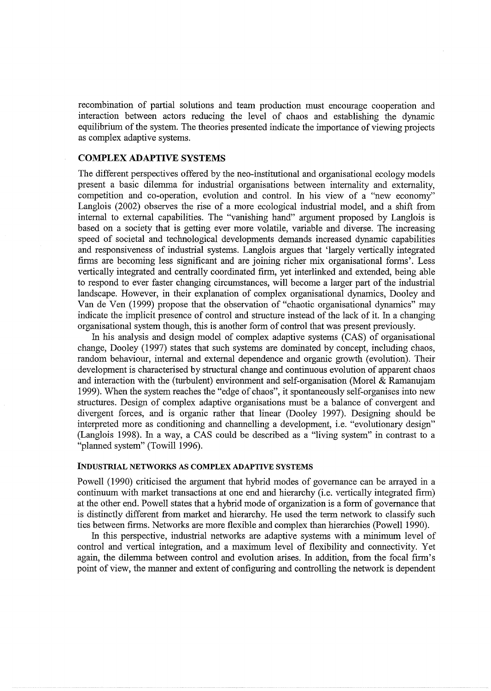recombination of partial solutions and team production must encourage cooperation and interaction between actors reducing the level of chaos and establishing the dynamic equilibrium of the system. The theories presented indicate the importance of viewing projects as complex adaptive systems.

## COMPLEX ADAPTIVE SYSTEMS

The different perspectives offered by the neo-institutional and organisational ecology models present a basic dilemma for industrial organisations between internality and externality, competition and co-operation, evolution and control. In his view of a "new economy" Langlois (2002) observes the rise of a more ecological industrial model, and a shift from internal to external capabilities. The "vanishing hand" argument proposed by Langlois is based on a society that is getting ever more volatile, variable and diverse. The increasing speed of societal and technological developments demands increased dynamic capabilities and responsiveness of industrial systems. Langlois argues that 'largely vertically integrated firms are becoming less significant and are joining richer mix organisational forms'. Less vertically integrated and centrally coordinated firm, yet interlinked and extended, being able to respond to ever faster changing circumstances, will become a larger part of the industrial landscape. However, in their explanation of complex organisational dynamics, Dooley and Van de Ven (1999) propose that the observation of "chaotic organisational dynamics" may indicate the implicit presence of control and structure instead of the lack of it. In a changing organisational system though, this is another form of control that was present previously.

In his analysis and design model of complex adaptive systems (CAS) of organisational change, Dooley (1997) states that such systems are dominated by concept, including chaos, random behaviour, internal and external dependence and organic growth (evolution). Their development is characterised by structural change and continuous evolution of apparent chaos and interaction with the (turbulent) environment and self-organisation (Morel & Ramanujam 1999). When the system reaches the "edge of chaos", it spontaneously self-organises into new structures. Design of complex adaptive organisations must be a balance of convergent and divergent forces, and is organic rather that linear (Dooley 1997). Designing should be interpreted more as conditioning and channelling a development, i.e. "evolutionary design" (Langlois 1998). In a way, a CAS could be described as a "living system" in contrast to a "planned system" (Towill 1996).

#### INDUSTRIAL NETWORKS AS COMPLEX ADAPTIVE SYSTEMS

Powell (1990) criticised the argument that hybrid modes of governance can be arrayed in a continuum with market transactions at one end and hierarchy (i.e. vertically integrated firm) at the other end. Powell states that a hybrid mode of organization is a form of governance that is distinctly different from market and hierarchy. He used the term network to classify such ties between firms. Networks are more flexible and complex than hierarchies (Powell 1990).

In this perspective, industrial networks are adaptive systems with a minimum level of control and vertical integration, and a maximum level of flexibility and connectivity. Yet again, the dilemma between control and evolution arises. In addition, from the focal firm's point of view, the manner and extent of configuring and controlling the network is dependent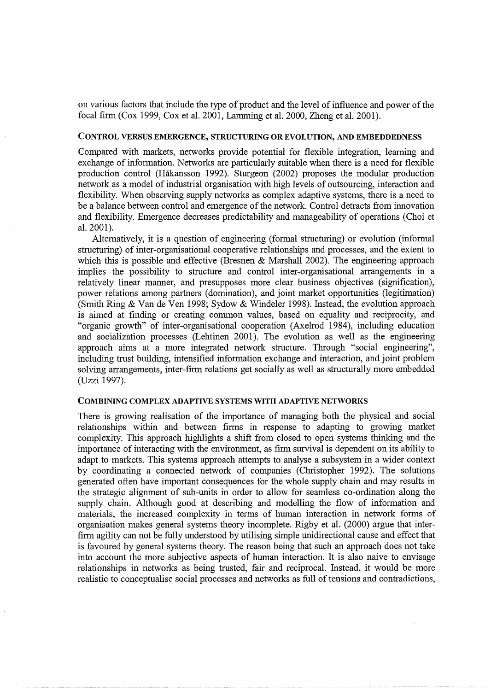on various factors that include the type of product and the level of influence and power of the focal firm (Cox 1999, Cox et al. 2001, Lamming et al. 2000, Zheng et al. 2001).

#### CONTROL VERSUS EMERGENCE, STRUCTURING **OR** EVOLUTION, AND EMBEDDEDNESS

Compared with markets, networks provide potential for flexible integration, learning and exchange of information. Networks are particularly suitable when there is a need for flexible production control (Hakansson 1992). Sturgeon (2002) proposes the modular production network as a model of industrial organisation with high levels of outsourcing, interaction and flexibility. When observing supply networks as complex adaptive systems, there is a need to be a balance between control and emergence of the network. Control detracts from innovation and flexibility. Emergence decreases predictability and manageability of operations (Choi et al. 2001).

Alternatively, it is a question of engineering (formal structuring) or evolution (informal structuring) of inter-organisational cooperative relationships and processes, and the extent to which this is possible and effective (Bresnen & Marshall 2002). The engineering approach implies the possibility to structure and control inter-organisational arrangements in a relatively linear manner, and presupposes more clear business objectives (signification), power relations among partners (domination), and joint market opportunities (legitimation) (Smith Ring & Van de Ven 1998; Sydow & Windeler 1998). Instead, the evolution approach is aimed at finding or creating common values, based on equality and reciprocity, and "organic growth" of inter-organisational cooperation (Axelrod 1984), including education and socialization processes (Lehtinen 2001). The evolution as well as the engineering approach aims at a more integrated network structure. Through "social engineering", including trust building, intensified information exchange and interaction, and joint problem solving arrangements, inter-firm relations get socially as well as structurally more embedded (Uzzi 1997).

#### COMBINING COMPLEX ADAPTIVE SYSTEMS **WITH** ADAPTIVE NETWORKS

There is growing realisation of the importance of managing both the physical and social relationships within and between firms in response to adapting to growing market complexity. This approach highlights a shift from closed to open systems thinking and the importance of interacting with the environment, as firm survival is dependent on its ability to adapt to markets. This systems approach attempts to analyse a subsystem in a wider context by coordinating a connected network of companies (Christopher 1992). The solutions generated often have important consequences for the whole supply chain and may results in the strategic alignment of sub-units in order to allow for seamless co-ordination along the supply chain. Although good at describing and modelling the flow of information and materials, the increased complexity in terms of human interaction in network forms of organisation makes general systems theory incomplete. Rigby et al. (2000) argue that interfirm agility can not be fully understood by utilising simple unidirectional cause and effect that is favoured by general systems theory. The reason being that such an approach does not take into account the more subjective aspects of human interaction. It is also naive to envisage relationships in networks as being trusted, fair and reciprocal. Instead, it would be more realistic to conceptualise social processes and networks as full of tensions and contradictions,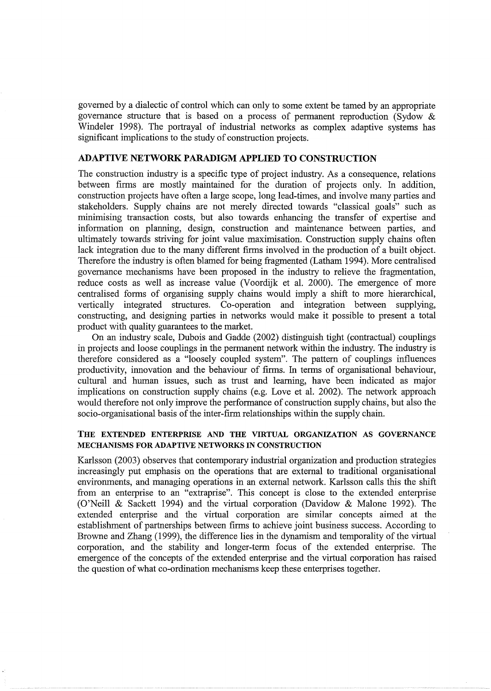governed by a dialectic of control which can only to some extent be tamed by an appropriate governance structure that is based on a process of permanent reproduction (Sydow & Windeler 1998). The portrayal of industrial networks as complex adaptive systems has significant implications to the study of construction projects.

## ADAPTIVE NETWORK PARADIGM APPLIED TO CONSTRUCTION

The construction industry is a specific type of project industry. As a consequence, relations between firms are mostly maintained for the duration of projects only. In addition, construction projects have often a large scope, long lead-times, and involve many parties and stakeholders. Supply chains are not merely directed towards "classical goals" such as minimising transaction costs, but also towards enhancing the transfer of expertise and information on planning, design, construction and maintenance between parties, and ultimately towards striving for joint value maximisation. Construction supply chains often lack integration due to the many different firms involved in the production of a built object. Therefore the industry is often blamed for being fragmented (Latham 1994). More centralised governance mechanisms have been proposed in the industry to relieve the fragmentation, reduce costs as well as increase value (Voordijk et al. 2000). The emergence of more centralised forms of organising supply chains would imply a shift to more hierarchical, vertically integrated structures. Co-operation and integration between supplying, constructing, and designing parties in networks would make it possible to present a total product with quality guarantees to the market.

On an industry scale, Dubois and Gadde (2002) distinguish tight (contractual) couplings in projects and loose couplings in the permanent network within the industry. The industry is therefore considered as a "loosely coupled system". The pattern of couplings influences productivity, innovation and the behaviour of firms. In terms of organisational behaviour, cultural and human issues, such as trust and learning, have been indicated as major implications on construction supply chains (e.g. Love et al. 2002). The network approach would therefore not only improve the performance of construction supply chains, but also the socio-organisational basis of the inter-firm relationships within the supply chain.

## THE EXTENDED ENTERPRISE AND THE VIRTUAL ORGANIZATION AS GOVERNANCE MECHANISMS FOR ADAPTIVE NETWORKS IN CONSTRUCTION

Karlsson (2003) observes that contemporary industrial organization and production strategies increasingly put emphasis on the operations that are external to traditional organisational environments, and managing operations in an external network. Karlsson calls this the shift from an enterprise to an "extraprise". This concept is close to the extended enterprise (O'Neill & Sackett 1994) and the virtual corporation (Davidow & Malone 1992). The extended enterprise and the virtual corporation are similar concepts aimed at the establishment of partnerships between firms to achieve joint business success. According to Browne and Zhang (1999), the difference lies in the dynamism and temporality of the virtual corporation, and the stability and longer-term focus of the extended enterprise. The emergence of the concepts of the extended enterprise and the virtual corporation has raised the question of what co-ordination mechanisms keep these enterprises together.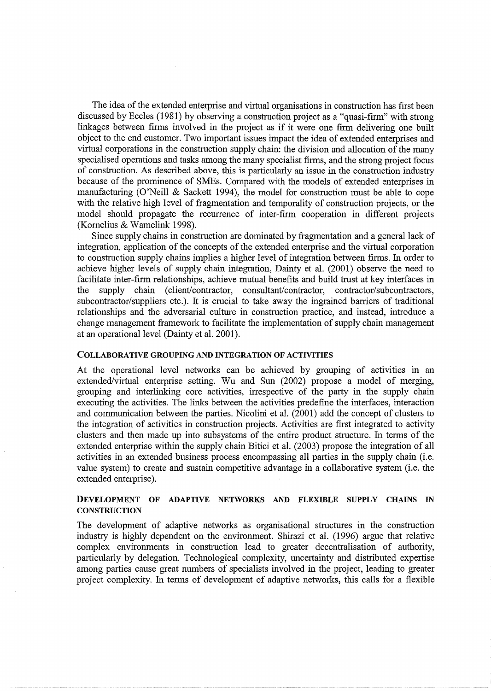The idea of the extended enterprise and virtual organisations in construction has first been discussed by Eccles (1981) by observing a construction project as a "quasi-firm" with strong linkages between firms involved in the project as if it were one firm delivering one built object to the end customer. Two important issues impact the idea of extended enterprises and virtual corporations in the construction supply chain: the division and allocation of the many specialised operations and tasks among the many specialist firms, and the strong project focus of construction. As described above, this is particularly an issue in the construction industry because of the prominence of SMEs. Compared with the models of extended enterprises in manufacturing (O'Neill & Sackett 1994), the model for construction must be able to cope with the relative high level of fragmentation and temporality of construction projects, or the model should propagate the recurrence of inter-firm cooperation in different projects (Komelius & Wamelink 1998).

Since supply chains in construction are dominated by fragmentation and a general lack of integration, application of the concepts of the extended enterprise and the virtual corporation to construction supply chains implies a higher level of integration between firms. In order to achieve higher levels of supply chain integration, Dainty et al. (2001) observe the need to facilitate inter-firm relationships, achieve mutual benefits and build trust at key interfaces in the supply chain (client/contractor, consultant/contractor, contractor/subcontractors, subcontractor/suppliers etc.). It is crucial to take away the ingrained barriers of traditional relationships and the adversarial culture in construction practice, and instead, introduce a change management framework to facilitate the implementation of supply chain management at an operational level (Dainty et al. 2001).

#### COLLABORATIVE GROUPING AND INTEGRATION OF ACTIVITIES

At the operational level networks can be achieved by grouping of activities in an extended/virtual enterprise setting. Wu and Sun (2002) propose a model of merging, grouping and interlinking core activities, irrespective of the party in the supply chain executing the activities. The links between the activities predefine the interfaces, interaction and communication between the parties. Nicolini et al. (2001) add the concept of clusters to the integration of activities in construction projects. Activities are first integrated to activity clusters and then made up into subsystems of the entire product structure. In terms of the extended enterprise within the supply chain Bitici et al. (2003) propose the integration of all activities in an extended business process encompassing all parties in the supply chain (i.e. value system) to create and sustain competitive advantage in a collaborative system (i.e. the extended enterprise).

## DEVELOPMENT OF ADAPTIVE NETWORKS AND FLEXffiLE SUPPLY CHAINS IN **CONSTRUCTION**

The development of adaptive networks as organisational structures in the construction industry is highly dependent on the environment. Shirazi et al. (1996) argue that relative complex environments in construction lead to greater decentralisation of authority, particularly by delegation. Technological complexity, uncertainty and distributed expertise among parties cause great numbers of specialists involved in the project, leading to greater project complexity. In terms of development of adaptive networks, this calls for a flexible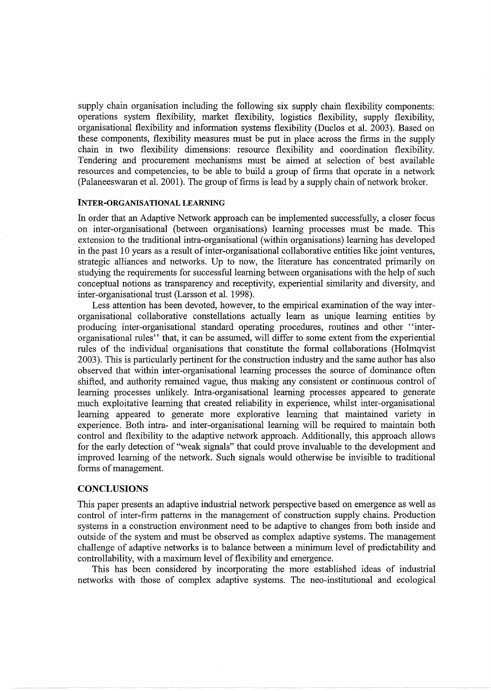supply chain organisation including the following six supply chain flexibility components: operations system flexibility, market flexibility, logistics flexibility, supply flexibility, organisational flexibility and information systems flexibility (Duclos et al. 2003). Based on these components, flexibility measures must be put in place across the firms in the supply chain in two flexibility dimensions: resource flexibility and coordination flexibility. Tendering and procurement mechanisms must be aimed at selection of best available resources and competencies, to be able to build a group of firms that operate in a network (Palaneeswaran et al. 2001). The group of firms is lead by a supply chain of network broker.

#### **INTER-ORGANISATIONAL LEARNING**

In order that an Adaptive Network approach can be implemented successfully, a closer focus on inter-organisational (between organisations) learning processes must be made. This extension to the traditional intra-organisational (within organisations) learning has developed in the past 10 years as a result of inter-organisational collaborative entities like joint ventures, strategic alliances and networks. Up to now, the literature has concentrated primarily on studying the requirements for successful learning between organisations with the help of such conceptual notions as transparency and receptivity, experiential similarity and diversity, and inter -organisational trust (Larsson et al. 1998).

Less attention has been devoted, however, to the empirical examination of the way interorganisational collaborative constellations actually learn as unique learning entities by producing inter-organisational standard operating procedures, routines and other ''interorganisational rules" that, it can be assumed, will differ to some extent from the experiential rules of the individual organisations that constitute the formal collaborations (Holmqvist 2003). This is particularly pertinent for the construction industry and the same author has also observed that within inter-organisational learning processes the source of dominance often shifted, and authority remained vague, thus making any consistent or continuous control of learning processes unlikely. Intra-organisational learning processes appeared to generate much exploitative learning that created reliability in experience, whilst inter-organisational learning appeared to generate more explorative learning that maintained variety in experience. Both intra- and inter-organisational learning will be required to maintain both control and flexibility to the adaptive network approach. Additionally, this approach allows for the early detection of "weak signals" that could prove invaluable to the development and improved learning of the network. Such signals would otherwise be invisible to traditional forms of management.

## **CONCLUSIONS**

This paper presents an adaptive industrial network perspective based on emergence as well as control of inter-firm patterns in the management of construction supply chains. Production systems in a construction environment need to be adaptive to changes from both inside and outside of the system and must be observed as complex adaptive systems. The management challenge of adaptive networks is to balance between a minimum level of predictability and controllability, with a maximum level of flexibility and emergence.

This has been considered by incorporating the more established ideas of industrial networks with those of complex adaptive systems. The neo-institutional and ecological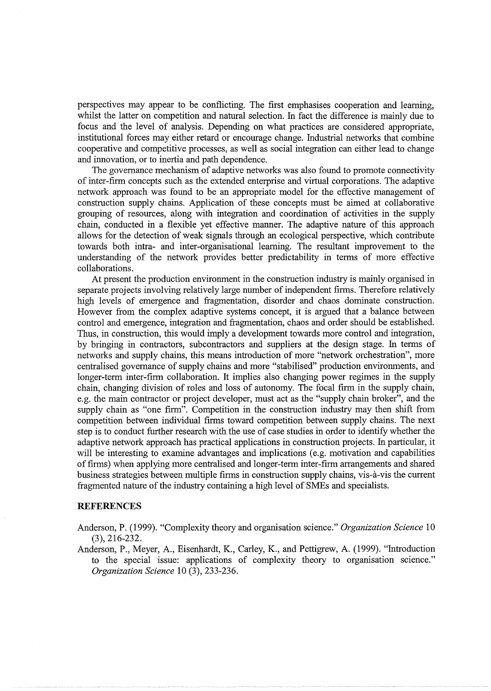perspectives may appear to be conflicting. The first emphasises cooperation and learning, whilst the latter on competition and natural selection. In fact the difference is mainly due to focus and the level of analysis. Depending on what practices are considered appropriate, institutional forces may either retard or encourage change. Industrial networks that combine cooperative and competitive processes, as well as social integration can either lead to change and innovation, or to inertia and path dependence.

The governance mechanism of adaptive networks was also found to promote connectivity of inter-firm concepts such as the extended enterprise and virtual corporations. The adaptive network approach was found to be an appropriate model for the effective management of construction supply chains. Application of these concepts must be aimed at collaborative grouping of resources, along with integration and coordination of activities in the supply chain, conducted in a flexible yet effective manner. The adaptive nature of this approach allows for the detection of weak signals through an ecological perspective, which contribute towards both intra- and inter-organisational learning. The resultant improvement to the understanding of the network provides better predictability in terms of more effective collaborations.

At present the production environment in the construction industry is mainly organised in separate projects involving relatively large number of independent firms. Therefore relatively high levels of emergence and fragmentation, disorder and chaos dominate construction. However from the complex adaptive systems concept, it is argued that a balance between control and emergence, integration and fragmentation, chaos and order should be established. Thus, in construction, this would imply a development towards more control and integration, by bringing in contractors, subcontractors and suppliers at the design stage. In terms of networks and supply chains, this means introduction of more "network orchestration", more centralised governance of supply chains and more "stabilised" production environments, and longer-term inter-firm collaboration. It implies also changing power regimes in the supply chain, changing division of roles and loss of autonomy. The focal firm in the supply chain, e.g. the main contractor or project developer, must act as the "supply chain broker", and the supply chain as "one firm". Competition in the construction industry may then shift from competition between individual firms toward competition between supply chains. The next step is to conduct further research with the use of case studies in order to identify whether the adaptive network approach has practical applications in construction projects. In particular, it will be interesting to examine advantages and implications (e.g. motivation and capabilities of firms) when applying more centralised and longer-term inter-firm arrangements and shared business strategies between multiple firms in construction supply chains, vis-a-vis the current fragmented nature of the industry containing a high level of SMEs and specialists.

## **REFERENCES**

Anderson, P. (1999). "Complexity theory and organisation science." *Organization Science* 10 (3), 216-232.

Anderson, P., Meyer, A., Eisenhardt, K., Carley, K., and Pettigrew, A. (1999). "Introduction to the special issue: applications of complexity theory to organisation science." *Organization Science* 10 (3), 233-236.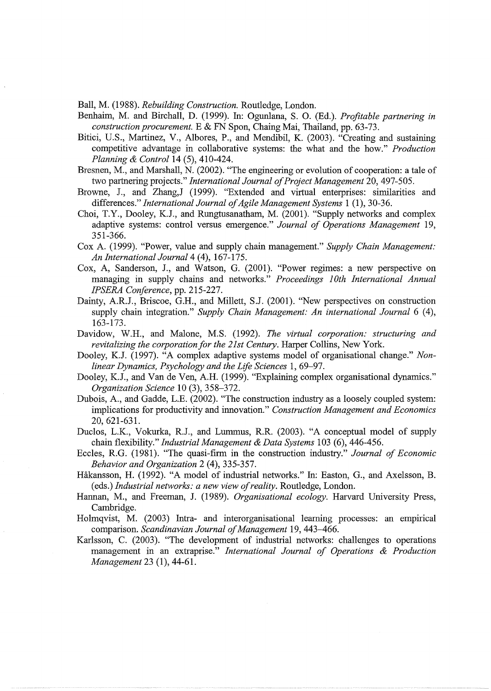Ball, M. (1988). *Rebuilding Construction.* Routledge, London.

- Benhaim, M. and Birchall, D. (1999). In: Ogunlana, S. 0. (Ed.). *Profitable partnering in construction procurement.* E & FN Span, Chaing Mai, Thailand, pp. 63-73.
- Bitici, U.S., Martinez, V., Albores, P., and Mendibil, K. (2003). "Creating and sustaining competitive advantage in collaborative systems: the what and the how." *Production Planning* & *Control14* (5), 410-424.
- Bresnen, M., and Marshall, N. (2002). "The engineering or evolution of cooperation: a tale of two partnering projects." *International Journal of Project Management* 20, 497-505.
- Browne, J., and Zhang,J (1999). "Extended and virtual enterprises: similarities and differences." *International Journal of Agile Management Systems* 1 (1), 30-36.
- Choi, T.Y., Dooley, K.J., and Rungtusanatham, M. (2001). "Supply networks and complex adaptive systems: control versus emergence." *Journal of Operations Management* 19, 351-366.
- Cox A. (1999). "Power, value and supply chain management." *Supply Chain Management: An International Journal4* (4), 167-175.
- Cox, A, Sanderson, J., and Watson, G. (2001). "Power regimes: a new perspective on managing in supply chains and networks." *Proceedings* I *Oth International Annual IPSERA Conference,* pp. 215-227.
- Dainty, A.R.J., Briscoe, G.H., and Millett, S.J. (2001). "New perspectives on construction supply chain integration." *Supply Chain Management: An international Journal* 6 (4), 163-173.
- Davidow, W.H., and Malone, M.S. (1992). *The virtual corporation: structuring and revitalizing the corporation for the 21st Century.* Harper Collins, New York.
- Dooley, K.J. (1997). "A complex adaptive systems model of organisational change." *Nonlinear Dynamics, Psychology and the Life Sciences* 1, 69-97.
- Dooley, K.J., and Van de Yen, A.H. (1999). "Explaining complex organisational dynamics." *Organization Science* 10 (3), 358-372.
- Dubois, A., and Gadde, L.E. (2002). "The construction industry as a loosely coupled system: implications for productivity and innovation." *Construction Management and Economics*  20, 621-631.
- Duclos, L.K., Vokurka, R.J., and Lummus, R.R. (2003). "A conceptual model of supply chain flexibility." *Industrial Management* & *Data Systems* 103 (6), 446-456.
- Eccles, R.G. (1981). "The quasi-firm in the construction industry." *Journal of Economic Behavior and Organization* 2 (4), 335-357.
- Hakansson, H. (1992). "A model of industrial networks." In: Easton, G., and Axelsson, B. (eds.) *Industrial networks: a new view of reality.* Routledge, London.
- Hannan, M., and Freeman, J. (1989). *Organisational ecology.* Harvard University Press, Cambridge.
- Holmqvist, M. (2003) Intra- and interorganisational learning processes: an empirical comparison. *Scandinavian Journal of Management* 19, 443-466.
- Karlsson, C. (2003). "The development of industrial networks: challenges to operations management in an extraprise." *International Journal of Operations* & *Production Management* 23 (1), 44-61.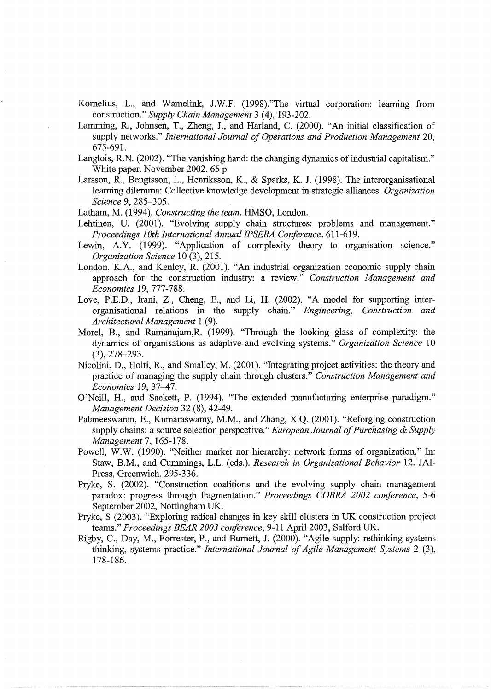- Komelius, L., and Wamelink, J.W.F. (1998)."The virtual corporation: learning from construction." *Supply Chain Management* 3 (4), 193-202.
- Lamming, R., Johnsen, T., Zheng, J., and Harland, C. (2000). "An initial classification of supply networks." *International Journal of Operations and Production Management* 20, 675-691.
- Langlois, R.N. (2002). "The vanishing hand: the changing dynamics of industrial capitalism." White paper. November 2002. 65 p.
- Larsson, R., Bengtsson, L., Henriksson, K., & Sparks, K. J. (1998). The interorganisational learning dilemma: Collective knowledge development in strategic alliances. *Organization Science* 9, 285-305.
- Latham, M. (1994). *Constructing the team.* HMSO, London.
- Lehtinen, U. (2001). "Evolving supply chain structures: problems and management." *Proceedings lOth International Annual IPSERA Conference.* 611-619.
- Lewin, A.Y. (1999). "Application of complexity theory to organisation science." *Organization Science* 10 (3), 215.
- London, K.A., and Kenley, R. (2001). "An industrial organization economic supply chain approach for the construction industry: a review." *Construction Management and Economics* 19, 777-788.
- Love, P.E.D., Irani, Z., Cheng, E., and Li, H. (2002). "A model for supporting interorganisational relations in the supply chain." *Engineering, Construction and Architectural Management* 1 (9).
- Morel, B., and Ramanujam,R. (1999). "Through the looking glass of complexity: the dynamics of organisations as adaptive and evolving systems." *Organization Science* 10 (3), 278-293.
- Nicolini, D., Holti, R., and Smalley, M. (2001). "Integrating project activities: the theory and practice of managing the supply chain through clusters." *Construction Management and Economics* 19, 37-47.
- O'Neill, H., and Sackett, P. (1994). "The extended manufacturing enterprise paradigm." *Management Decision* 32 (8), 42-49.
- Palaneeswaran, E., Kumaraswamy, M.M., and Zhang, X.Q. (2001). "Reforging construction supply chains: a source selection perspective." *European Journal of Purchasing* & *Supply Management* 7, 165-178.
- Powell, W.W. (1990). "Neither market nor hierarchy: network forms of organization." In: Staw, B.M., and Cummings, L.L. (eds.). *Research in Organisational Behavior* 12. JAI-Press, Greenwich. 295-336.
- Pryke, S. (2002). "Construction coalitions and the evolving supply chain management paradox: progress through fragmentation." *Proceedings COBRA 2002 conference,* 5-6 September 2002, Nottingham UK.
- Pryke, S (2003). "Exploring radical changes in key skill clusters in UK construction project teams." Proceedings BEAR 2003 conference, 9-11 April 2003, Salford UK.
- Rigby, C., Day, M., Forrester, P., and Burnett, J. (2000). "Agile supply: rethinking systems thinking, systems practice." *International Journal of Agile Management Systems* 2 (3), 178-186.